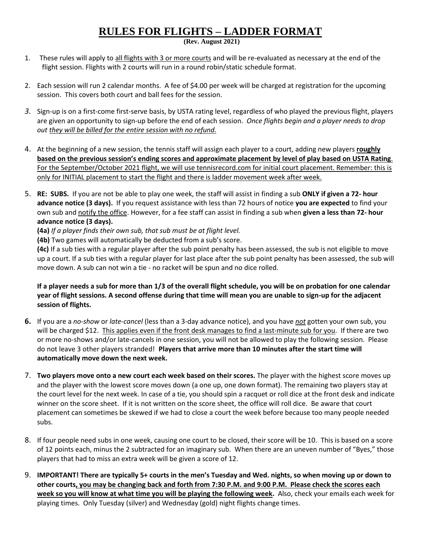## **RULES FOR FLIGHTS – LADDER FORMAT**

**(Rev. August 2021)**

- 1. These rules will apply to all flights with 3 or more courts and will be re-evaluated as necessary at the end of the flight session. Flights with 2 courts will run in a round robin/static schedule format.
- 2. Each session will run 2 calendar months. A fee of \$4.00 per week will be charged at registration for the upcoming session. This covers both court and ball fees for the session.
- *3.* Sign-up is on a first-come first-serve basis, by USTA rating level, regardless of who played the previous flight, players are given an opportunity to sign-up before the end of each session. *Once flights begin and a player needs to drop out they will be billed for the entire session with no refund.*
- 4. At the beginning of a new session, the tennis staff will assign each player to a court, adding new players **roughly based on the previous session's ending scores and approximate placement by level of play based on USTA Rating**. For the September/October 2021 flight, we will use tennisrecord.com for initial court placement. Remember: this is only for INITIAL placement to start the flight and there is ladder movement week after week.
- 5. **RE: SUBS.** If you are not be able to play one week, the staff will assist in finding a sub **ONLY if given a 72- hour advance notice (3 days).** If you request assistance with less than 72 hours of notice **you are expected** to find your own sub and notify the office. However, for a fee staff can assist in finding a sub when **given a less than 72- hour advance notice (3 days).**
	- **(4a)** *If a player finds their own sub, that sub must be at flight level.*
	- **(4b)** Two games will automatically be deducted from a sub's score.

**(4c)** If a sub ties with a regular player after the sub point penalty has been assessed, the sub is not eligible to move up a court. If a sub ties with a regular player for last place after the sub point penalty has been assessed, the sub will move down. A sub can not win a tie - no racket will be spun and no dice rolled.

## **If a player needs a sub for more than 1/3 of the overall flight schedule, you will be on probation for one calendar year of flight sessions. A second offense during that time will mean you are unable to sign-up for the adjacent session of flights.**

- **6.** If you are a *no-show* or *late-cancel* (less than a 3-day advance notice), and you have *not* gotten your own sub, you will be charged \$12. This applies even if the front desk manages to find a last-minute sub for you. If there are two or more no-shows and/or late-cancels in one session, you will not be allowed to play the following session. Please do not leave 3 other players stranded! **Players that arrive more than 10 minutes after the start time will automatically move down the next week.**
- 7. **Two players move onto a new court each week based on their scores.** The player with the highest score moves up and the player with the lowest score moves down (a one up, one down format). The remaining two players stay at the court level for the next week. In case of a tie, you should spin a racquet or roll dice at the front desk and indicate winner on the score sheet. If it is not written on the score sheet, the office will roll dice. Be aware that court placement can sometimes be skewed if we had to close a court the week before because too many people needed subs.
- 8. If four people need subs in one week, causing one court to be closed, their score will be 10. This is based on a score of 12 points each, minus the 2 subtracted for an imaginary sub. When there are an uneven number of "Byes," those players that had to miss an extra week will be given a score of 12.
- 9. **IMPORTANT! There are typically 5+ courts in the men's Tuesday and Wed. nights, so when moving up or down to other courts, you may be changing back and forth from 7:30 P.M. and 9:00 P.M. Please check the scores each week so you will know at what time you will be playing the following week.** Also, check your emails each week for playing times. Only Tuesday (silver) and Wednesday (gold) night flights change times.